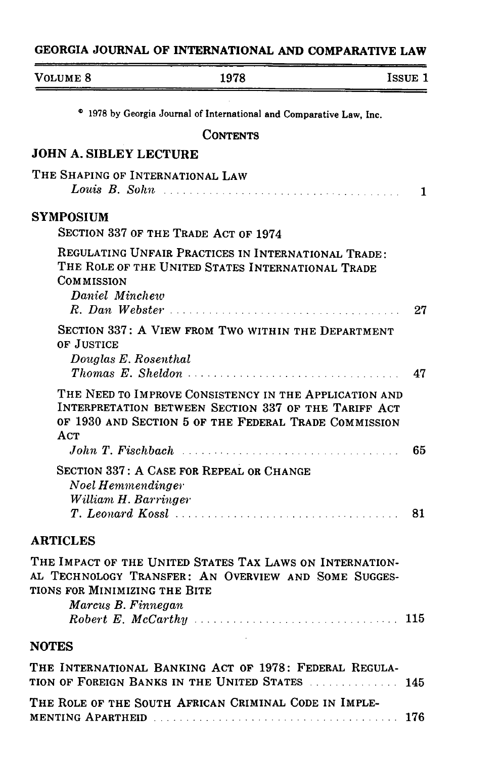## GEORGIA JOURNAL OF INTERNATIONAL AND COMPARATIVE LAW

| VOLUME 8                                            | 1978                                                                                                                                                                    | <b>ISSUE 1</b> |
|-----------------------------------------------------|-------------------------------------------------------------------------------------------------------------------------------------------------------------------------|----------------|
|                                                     | <sup>o</sup> 1978 by Georgia Journal of International and Comparative Law, Inc.                                                                                         |                |
|                                                     | <b>CONTENTS</b>                                                                                                                                                         |                |
| <b>JOHN A. SIBLEY LECTURE</b>                       |                                                                                                                                                                         |                |
| THE SHAPING OF INTERNATIONAL LAW                    |                                                                                                                                                                         | 1              |
| <b>SYMPOSIUM</b>                                    | SECTION 337 OF THE TRADE ACT OF 1974                                                                                                                                    |                |
| COMMISSION<br>Daniel Minchew                        | REGULATING UNFAIR PRACTICES IN INTERNATIONAL TRADE:<br>THE ROLE OF THE UNITED STATES INTERNATIONAL TRADE                                                                | 27             |
| OF JUSTICE<br>Douglas E. Rosenthal                  | SECTION 337: A VIEW FROM TWO WITHIN THE DEPARTMENT                                                                                                                      | 47             |
| ACT<br>John T. Fischbach                            | THE NEED TO IMPROVE CONSISTENCY IN THE APPLICATION AND<br>INTERPRETATION BETWEEN SECTION 337 OF THE TARIFF ACT<br>OF 1930 AND SECTION 5 OF THE FEDERAL TRADE COMMISSION | 65             |
| Noel Hemmendinger<br>William H. Barringer           | SECTION 337: A CASE FOR REPEAL OR CHANGE                                                                                                                                | 81             |
| <b>ARTICLES</b>                                     |                                                                                                                                                                         |                |
| TIONS FOR MINIMIZING THE BITE<br>Marcus B. Finnegan | THE IMPACT OF THE UNITED STATES TAX LAWS ON INTERNATION-<br>AL TECHNOLOGY TRANSFER: AN OVERVIEW AND SOME SUGGES-                                                        | 115            |
| <b>NOTES</b>                                        |                                                                                                                                                                         |                |
|                                                     | THE INTERNATIONAL BANKING ACT OF 1978: FEDERAL REGULA-<br>TION OF FOREIGN BANKS IN THE UNITED STATES                                                                    | 145            |
|                                                     | THE ROLE OF THE SOUTH AFRICAN CRIMINAL CODE IN IMPLE-                                                                                                                   |                |